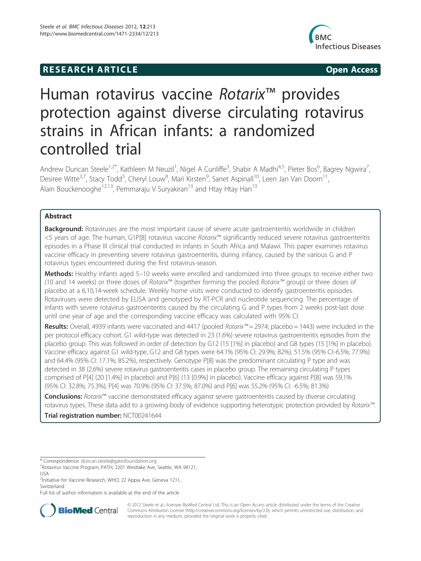# **RESEARCH ARTICLE Example 2014 CONSIDERING CONSIDERING CONSIDERING CONSIDERING CONSIDERING CONSIDERING CONSIDERING CONSIDERING CONSIDERING CONSIDERING CONSIDERING CONSIDERING CONSIDERING CONSIDERING CONSIDERING CONSIDE**



# Human rotavirus vaccine Rotarix<sup>™</sup> provides protection against diverse circulating rotavirus strains in African infants: a randomized controlled trial

Andrew Duncan Steele<sup>1,2\*</sup>, Kathleen M Neuzil<sup>1</sup>, Nigel A Cunliffe<sup>3</sup>, Shabir A Madhi<sup>4,5</sup>, Pieter Bos<sup>6</sup>, Bagrey Ngwira<sup>7</sup> , Desiree Witte<sup>3,7</sup>, Stacy Todd<sup>3</sup>, Cheryl Louw<sup>8</sup>, Mari Kirsten<sup>9</sup>, Sanet Aspinall<sup>10</sup>, Leen Jan Van Doorn<sup>11</sup>, Alain Bouckenooghe<sup>12,13</sup>, Pemmaraju V Suryakiran<sup>13</sup> and Htay Htay Han<sup>13</sup>

# Abstract

**Background:** Rotaviruses are the most important cause of severe acute gastroenteritis worldwide in children <5 years of age. The human, G1P[8] rotavirus vaccine Rotarix™ significantly reduced severe rotavirus gastroenteritis episodes in a Phase III clinical trial conducted in infants in South Africa and Malawi. This paper examines rotavirus vaccine efficacy in preventing severe rotavirus gastroenteritis, during infancy, caused by the various G and P rotavirus types encountered during the first rotavirus-season.

Methods: Healthy infants aged 5-10 weeks were enrolled and randomized into three groups to receive either two (10 and 14 weeks) or three doses of Rotarix™ (together forming the pooled Rotarix™ group) or three doses of placebo at a 6,10,14-week schedule. Weekly home visits were conducted to identify gastroenteritis episodes. Rotaviruses were detected by ELISA and genotyped by RT-PCR and nucleotide sequencing. The percentage of infants with severe rotavirus gastroenteritis caused by the circulating G and P types from 2 weeks post-last dose until one year of age and the corresponding vaccine efficacy was calculated with 95% CI.

Results: Overall, 4939 infants were vaccinated and 4417 (pooled Rotarix™ = 2974; placebo = 1443) were included in the per protocol efficacy cohort. G1 wild-type was detected in 23 (1.6%) severe rotavirus gastroenteritis episodes from the placebo group. This was followed in order of detection by G12 (15 [1%] in placebo) and G8 types (15 [1%] in placebo). Vaccine efficacy against G1 wild-type, G12 and G8 types were 64.1% (95% CI: 29.9%; 82%), 51.5% (95% CI:-6.5%; 77.9%) and 64.4% (95% CI: 17.1%; 85.2%), respectively. Genotype P[8] was the predominant circulating P type and was detected in 38 (2.6%) severe rotavirus gastroenteritis cases in placebo group. The remaining circulating P types comprised of P[4] (20 [1.4%] in placebo) and P[6] (13 [0.9%] in placebo). Vaccine efficacy against P[8] was 59.1% (95% CI: 32.8%; 75.3%), P[4] was 70.9% (95% CI: 37.5%; 87.0%) and P[6] was 55.2% (95% CI: -6.5%; 81.3%)

Conclusions: Rotarix™ vaccine demonstrated efficacy against severe gastroenteritis caused by diverse circulating rotavirus types. These data add to a growing body of evidence supporting heterotypic protection provided by Rotarix™.

Trial registration number: NCT00241644

Full list of author information is available at the end of the article



© 2012 Steele et al.; licensee BioMed Central Ltd. This is an Open Access article distributed under the terms of the Creative Commons Attribution License (http://creativecommons.org/licenses/by/2.0), which permits unrestricted use, distribution, and reproduction in any medium, provided the original work is properly cited.

<sup>\*</sup> Correspondence: duncan.steele@gatesfoundation.org <sup>1</sup>

<sup>&</sup>lt;sup>1</sup> Rotavirus Vaccine Program, PATH, 2201 Westlake Ave, Seattle, WA 98121, USA

<sup>&</sup>lt;sup>2</sup>Initiative for Vaccine Research, WHO, 22 Appia Ave, Geneva 1211, Switzerland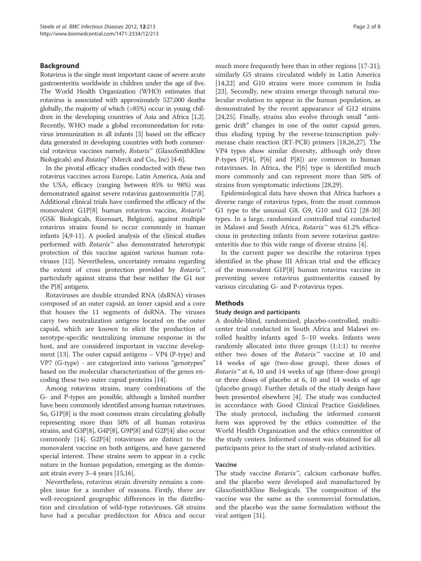## Background

Rotavirus is the single most important cause of severe acute gastroenteritis worldwide in children under the age of five. The World Health Organization (WHO) estimates that rotavirus is associated with approximately 527,000 deaths globally, the majority of which (>85%) occur in young children in the developing countries of Asia and Africa [1,2]. Recently, WHO made a global recommendation for rotavirus immunization in all infants [3] based on the efficacy data generated in developing countries with both commercial rotavirus vaccines namely, Rotarix™ (GlaxoSmithKline Biologicals) and Rotateq™ (Merck and Co., Inc) [4-6].

In the pivotal efficacy studies conducted with these two rotavirus vaccines across Europe, Latin America, Asia and the USA, efficacy (ranging between 85% to 98%) was demonstrated against severe rotavirus gastroenteritis [7,8]. Additional clinical trials have confirmed the efficacy of the monovalent G1P[8] human rotavirus vaccine, Rotarix™ (GSK Biologicals, Rixensart, Belgium), against multiple rotavirus strains found to occur commonly in human infants [4,9-11]. A pooled analysis of the clinical studies performed with  $Rotarix^{\omega}$  also demonstrated heterotypic protection of this vaccine against various human rotaviruses [12]. Nevertheless, uncertainty remains regarding the extent of cross protection provided by Rotarix<sup>™</sup>, particularly against strains that bear neither the G1 nor the P[8] antigens.

Rotaviruses are double stranded RNA (dsRNA) viruses composed of an outer capsid, an inner capsid and a core that houses the 11 segments of dsRNA. The viruses carry two neutralization antigens located on the outer capsid, which are known to elicit the production of serotype-specific neutralizing immune response in the host, and are considered important in vaccine development [13]. The outer capsid antigens – VP4 (P-type) and VP7 (G-type) - are categorized into various "genotypes" based on the molecular characterization of the genes encoding these two outer capsid proteins [14].

Among rotavirus strains, many combinations of the G- and P-types are possible, although a limited number have been commonly identified among human rotaviruses. So, G1P[8] is the most common strain circulating globally representing more than 50% of all human rotavirus strains, and G3P[8], G4P[8], G9P[8] and G2P[4] also occur commonly [14]. G2P[4] rotaviruses are distinct to the monovalent vaccine on both antigens, and have garnered special interest. These strains seem to appear in a cyclic nature in the human population, emerging as the dominant strain every 3–4 years [15,16].

Nevertheless, rotavirus strain diversity remains a complex issue for a number of reasons. Firstly, there are well-recognized geographic differences in the distribution and circulation of wild-type rotaviruses. G8 strains have had a peculiar predilection for Africa and occur

much more frequently here than in other regions [17-21]; similarly G5 strains circulated widely in Latin America [14,22] and G10 strains were more common in India [23]. Secondly, new strains emerge through natural molecular evolution to appear in the human population, as demonstrated by the recent appearance of G12 strains [24,25]. Finally, strains also evolve through small "antigenic drift" changes in one of the outer capsid genes, thus eluding typing by the reverse-transcription polymerase chain reaction (RT-PCR) primers [18,26,27]. The VP4 types show similar diversity, although only three P-types  $(P[4], P[6]$  and  $P[8]$ ) are common in human rotaviruses. In Africa, the P[6] type is identified much more commonly and can represent more than 50% of strains from symptomatic infections [28,29].

Epidemiological data have shown that Africa harbors a diverse range of rotavirus types, from the most common G1 type to the unusual G8, G9, G10 and G12 [28-30] types. In a large, randomized controlled trial conducted in Malawi and South Africa, Rotarix<sup>™</sup> was 61.2% efficacious in protecting infants from severe rotavirus gastroenteritis due to this wide range of diverse strains [4].

In the current paper we describe the rotavirus types identified in the phase III African trial and the efficacy of the monovalent G1P[8] human rotavirus vaccine in preventing severe rotavirus gastroenteritis caused by various circulating G- and P-rotavirus types.

# **Methods**

#### Study design and participants

A double-blind, randomized, placebo-controlled, multicenter trial conducted in South Africa and Malawi enrolled healthy infants aged 5−10 weeks. Infants were randomly allocated into three groups (1:1:1) to receive either two doses of the Rotarix™ vaccine at 10 and 14 weeks of age (two-dose group), three doses of *Rotarix*<sup>™</sup> at 6, 10 and 14 weeks of age (three-dose group) or three doses of placebo at 6, 10 and 14 weeks of age (placebo group). Further details of the study design have been presented elsewhere [4]. The study was conducted in accordance with Good Clinical Practice Guidelines. The study protocol, including the informed consent form was approved by the ethics committee of the World Health Organization and the ethics committee of the study centers. Informed consent was obtained for all participants prior to the start of study-related activities.

#### Vaccine

The study vaccine Rotarix<sup>™</sup>, calcium carbonate buffer, and the placebo were developed and manufactured by GlaxoSmithKline Biologicals. The composition of the vaccine was the same as the commercial formulation, and the placebo was the same formulation without the viral antigen [31].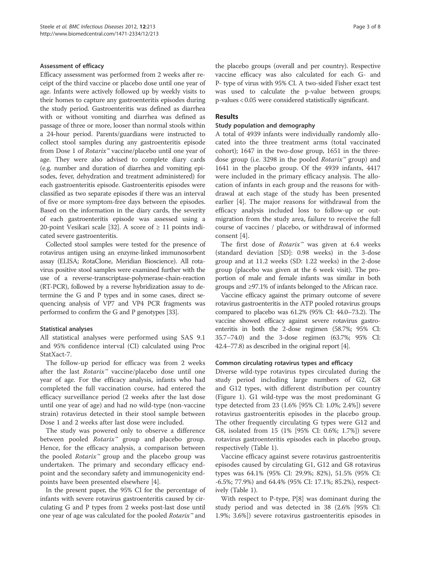#### Assessment of efficacy

Efficacy assessment was performed from 2 weeks after receipt of the third vaccine or placebo dose until one year of age. Infants were actively followed up by weekly visits to their homes to capture any gastroenteritis episodes during the study period. Gastroenteritis was defined as diarrhea with or without vomiting and diarrhea was defined as passage of three or more, looser than normal stools within a 24-hour period. Parents/guardians were instructed to collect stool samples during any gastroenteritis episode from Dose 1 of Rotarix™ vaccine/placebo until one year of age. They were also advised to complete diary cards (e.g. number and duration of diarrhea and vomiting episodes, fever, dehydration and treatment administered) for each gastroenteritis episode. Gastroenteritis episodes were classified as two separate episodes if there was an interval of five or more symptom-free days between the episodes. Based on the information in the diary cards, the severity of each gastroenteritis episode was assessed using a 20-point Vesikari scale [32]. A score of  $\geq$  11 points indicated severe gastroenteritis.

Collected stool samples were tested for the presence of rotavirus antigen using an enzyme-linked immunosorbent assay (ELISA; RotaClone, Meridian Bioscience). All rotavirus positive stool samples were examined further with the use of a reverse-transcriptase-polymerase-chain-reaction (RT-PCR), followed by a reverse hybridization assay to determine the G and P types and in some cases, direct sequencing analysis of VP7 and VP4 PCR fragments was performed to confirm the G and P genotypes [33].

# Statistical analyses

All statistical analyses were performed using SAS 9.1 and 95% confidence interval (CI) calculated using Proc StatXact-7.

The follow-up period for efficacy was from 2 weeks after the last *Rotarix*<sup>™</sup> vaccine/placebo dose until one year of age. For the efficacy analysis, infants who had completed the full vaccination course, had entered the efficacy surveillance period (2 weeks after the last dose until one year of age) and had no wild-type (non-vaccine strain) rotavirus detected in their stool sample between Dose 1 and 2 weeks after last dose were included.

The study was powered only to observe a difference between pooled *Rotarix*<sup>™</sup> group and placebo group. Hence, for the efficacy analysis, a comparison between the pooled Rotarix™ group and the placebo group was undertaken. The primary and secondary efficacy endpoint and the secondary safety and immunogenicity endpoints have been presented elsewhere [4].

In the present paper, the 95% CI for the percentage of infants with severe rotavirus gastroenteritis caused by circulating G and P types from 2 weeks post-last dose until one year of age was calculated for the pooled Rotarix<sup>™</sup> and the placebo groups (overall and per country). Respective vaccine efficacy was also calculated for each G- and P- type of virus with 95% CI. A two-sided Fisher exact test was used to calculate the p-value between groups; p-values < 0.05 were considered statistically significant.

# Results

#### Study population and demography

A total of 4939 infants were individually randomly allocated into the three treatment arms (total vaccinated cohort); 1647 in the two-dose group, 1651 in the threedose group (i.e. 3298 in the pooled Rotarix™ group) and 1641 in the placebo group. Of the 4939 infants, 4417 were included in the primary efficacy analysis. The allocation of infants in each group and the reasons for withdrawal at each stage of the study has been presented earlier [4]. The major reasons for withdrawal from the efficacy analysis included loss to follow-up or outmigration from the study area, failure to receive the full course of vaccines / placebo, or withdrawal of informed consent [4].

The first dose of Rotarix™ was given at 6.4 weeks (standard deviation [SD]: 0.98 weeks) in the 3-dose group and at 11.2 weeks (SD: 1.22 weeks) in the 2-dose group (placebo was given at the 6 week visit). The proportion of male and female infants was similar in both groups and ≥97.1% of infants belonged to the African race.

Vaccine efficacy against the primary outcome of severe rotavirus gastroenteritis in the ATP pooled rotavirus groups compared to placebo was 61.2% (95% CI: 44.0–73.2). The vaccine showed efficacy against severe rotavirus gastroenteritis in both the 2-dose regimen (58.7%; 95% CI: 35.7–74.0) and the 3-dose regimen (63.7%; 95% CI: 42.4–77.8) as described in the original report [4].

# Common circulating rotavirus types and efficacy

Diverse wild-type rotavirus types circulated during the study period including large numbers of G2, G8 and G12 types, with different distribution per country (Figure 1). G1 wild-type was the most predominant G type detected from 23 (1.6% [95% CI: 1.0%; 2.4%]) severe rotavirus gastroenteritis episodes in the placebo group. The other frequently circulating G types were G12 and G8, isolated from 15 (1% [95% CI: 0.6%; 1.7%]) severe rotavirus gastroenteritis episodes each in placebo group, respectively (Table 1).

Vaccine efficacy against severe rotavirus gastroenteritis episodes caused by circulating G1, G12 and G8 rotavirus types was 64.1% (95% CI: 29.9%; 82%), 51.5% (95% CI: -6.5%; 77.9%) and 64.4% (95% CI: 17.1%; 85.2%), respectively (Table 1).

With respect to P-type, P[8] was dominant during the study period and was detected in 38 (2.6% [95% CI: 1.9%; 3.6%]) severe rotavirus gastroenteritis episodes in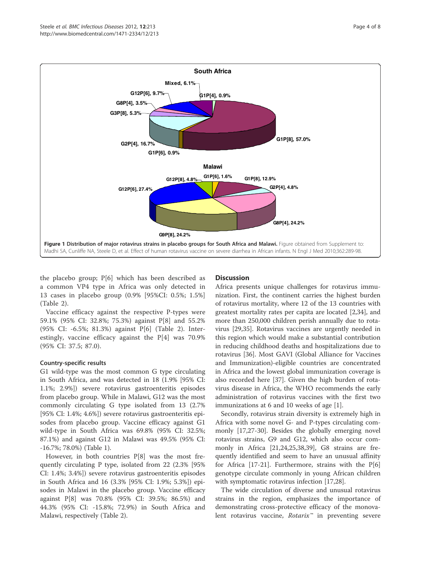

the placebo group; P[6] which has been described as a common VP4 type in Africa was only detected in 13 cases in placebo group (0.9% [95%CI: 0.5%; 1.5%] (Table 2).

Vaccine efficacy against the respective P-types were 59.1% (95% CI: 32.8%; 75.3%) against P[8] and 55.2% (95% CI: -6.5%; 81.3%) against P[6] (Table 2). Interestingly, vaccine efficacy against the P[4] was 70.9% (95% CI: 37.5; 87.0).

# Country-specific results

G1 wild-type was the most common G type circulating in South Africa, and was detected in 18 (1.9% [95% CI: 1.1%; 2.9%]) severe rotavirus gastroenteritis episodes from placebo group. While in Malawi, G12 was the most commonly circulating G type isolated from 13 (2.7% [95% CI: 1.4%; 4.6%]) severe rotavirus gastroenteritis episodes from placebo group. Vaccine efficacy against G1 wild-type in South Africa was 69.8% (95% CI: 32.5%; 87.1%) and against G12 in Malawi was 49.5% (95% CI: -16.7%; 78.0%) (Table 1).

However, in both countries P[8] was the most frequently circulating P type, isolated from 22 (2.3% [95% CI: 1.4%; 3.4%]) severe rotavirus gastroenteritis episodes in South Africa and 16 (3.3% [95% CI: 1.9%; 5.3%]) episodes in Malawi in the placebo group. Vaccine efficacy against P[8] was 70.8% (95% CI: 39.5%; 86.5%) and 44.3% (95% CI: -15.8%; 72.9%) in South Africa and Malawi, respectively (Table 2).

# **Discussion**

Africa presents unique challenges for rotavirus immunization. First, the continent carries the highest burden of rotavirus mortality, where 12 of the 13 countries with greatest mortality rates per capita are located [2,34], and more than 250,000 children perish annually due to rotavirus [29,35]. Rotavirus vaccines are urgently needed in this region which would make a substantial contribution in reducing childhood deaths and hospitalizations due to rotavirus [36]. Most GAVI (Global Alliance for Vaccines and Immunization)-eligible countries are concentrated in Africa and the lowest global immunization coverage is also recorded here [37]. Given the high burden of rotavirus disease in Africa, the WHO recommends the early administration of rotavirus vaccines with the first two immunizations at 6 and 10 weeks of age [1].

Secondly, rotavirus strain diversity is extremely high in Africa with some novel G- and P-types circulating commonly [17,27-30]. Besides the globally emerging novel rotavirus strains, G9 and G12, which also occur commonly in Africa [21,24,25,38,39], G8 strains are frequently identified and seem to have an unusual affinity for Africa  $[17-21]$ . Furthermore, strains with the  $P[6]$ genotype circulate commonly in young African children with symptomatic rotavirus infection [17,28].

The wide circulation of diverse and unusual rotavirus strains in the region, emphasizes the importance of demonstrating cross-protective efficacy of the monovalent rotavirus vaccine, Rotarix<sup>™</sup> in preventing severe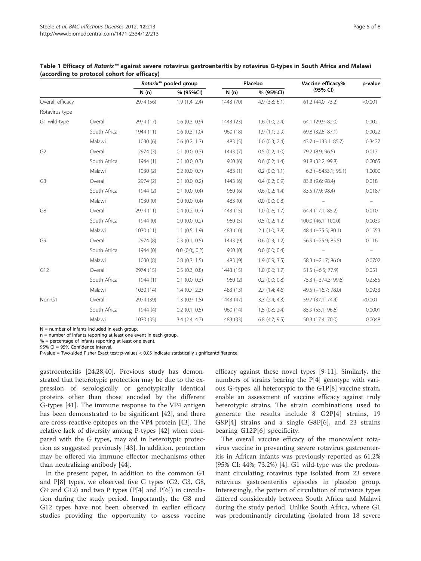|                  |              | Rotarix <sup>™</sup> pooled group |                    | Placebo   |                    | Vaccine efficacy%         | p-value |
|------------------|--------------|-----------------------------------|--------------------|-----------|--------------------|---------------------------|---------|
|                  |              | N(n)                              | % (95%CI)          | N(n)      | % (95%CI)          | (95% CI)                  |         |
| Overall efficacy |              | 2974 (56)                         | 1.9(1.4; 2.4)      | 1443 (70) | $4.9$ $(3.8; 6.1)$ | 61.2 (44.0; 73.2)         | < 0.001 |
| Rotavirus type   |              |                                   |                    |           |                    |                           |         |
| G1 wild-type     | Overall      | 2974 (17)                         | $0.6$ $(0.3; 0.9)$ | 1443 (23) | $1.6$ $(1.0; 2.4)$ | 64.1 (29.9; 82.0)         | 0.002   |
|                  | South Africa | 1944 (11)                         | $0.6$ $(0.3; 1.0)$ | 960 (18)  | 1.9(1.1; 2.9)      | 69.8 (32.5; 87.1)         | 0.0022  |
|                  | Malawi       | 1030(6)                           | $0.6$ $(0.2; 1.3)$ | 483(5)    | $1.0$ (0.3; 2.4)   | 43.7 (-133.1; 85.7)       | 0.3427  |
| G <sub>2</sub>   | Overall      | 2974(3)                           | $0.1$ $(0.0; 0.3)$ | 1443(7)   | 0.5(0.2; 1.0)      | 79.2 (8.9; 96.5)          | 0.017   |
|                  | South Africa | 1944(1)                           | $0.1$ (0.0; 0.3)   | 960(6)    | $0.6$ $(0.2; 1.4)$ | 91.8 (32.2; 99.8)         | 0.0065  |
|                  | Malawi       | 1030(2)                           | $0.2$ (0.0; 0.7)   | 483 (1)   | $0.2$ (0.0; 1.1)   | $6.2$ ( $-5433.1$ ; 95.1) | 1.0000  |
| G <sub>3</sub>   | Overall      | 2974 (2)                          | $0.1$ $(0.0; 0.2)$ | 1443(6)   | $0.4$ $(0.2; 0.9)$ | 83.8 (9.6; 98.4)          | 0.018   |
|                  | South Africa | 1944 (2)                          | $0.1$ $(0.0; 0.4)$ | 960(6)    | $0.6$ $(0.2; 1.4)$ | 83.5 (7.9; 98.4)          | 0.0187  |
|                  | Malawi       | 1030(0)                           | $0.0$ $(0.0; 0.4)$ | 483 (0)   | $0.0$ $(0.0; 0.8)$ |                           |         |
| G8               | Overall      | 2974 (11)                         | $0.4$ $(0.2; 0.7)$ | 1443 (15) | $1.0$ (0.6; 1.7)   | 64.4 (17.1; 85.2)         | 0.010   |
|                  | South Africa | 1944(0)                           | $0.0$ $(0.0; 0.2)$ | 960(5)    | 0.5(0.2; 1.2)      | 100.0 (46.1; 100.0)       | 0.0039  |
|                  | Malawi       | 1030(11)                          | $1.1$ (0.5; 1.9)   | 483 (10)  | $2.1$ (1.0; 3.8)   | 48.4 (-35.5; 80.1)        | 0.1553  |
| G9               | Overall      | 2974 (8)                          | $0.3$ $(0.1; 0.5)$ | 1443 (9)  | $0.6$ $(0.3; 1.2)$ | $56.9$ ( $-25.9$ ; 85.5)  | 0.116   |
|                  | South Africa | 1944(0)                           | $0.0$ $(0.0, 0.2)$ | 960(0)    | $0.0$ $(0.0; 0.4)$ |                           |         |
|                  | Malawi       | 1030(8)                           | $0.8$ $(0.3; 1.5)$ | 483 (9)   | 1.9(0.9; 3.5)      | 58.3 (-21.7; 86.0)        | 0.0702  |
| G12              | Overall      | 2974 (15)                         | $0.5$ $(0.3; 0.8)$ | 1443 (15) | $1.0$ (0.6; 1.7)   | $51.5 (-6.5; 77.9)$       | 0.051   |
|                  | South Africa | 1944 (1)                          | $0.1$ (0.0; 0.3)   | 960(2)    | $0.2$ (0.0; 0.8)   | 75.3 (-374.3; 99.6)       | 0.2555  |
|                  | Malawi       | 1030 (14)                         | $1.4$ (0.7; 2.3)   | 483 (13)  | 2.7(1.4; 4.6)      | 49.5 (-16.7; 78.0)        | 0.0933  |
| Non-G1           | Overall      | 2974 (39)                         | $1.3$ (0.9; 1.8)   | 1443 (47) | 3.3(2.4; 4.3)      | 59.7 (37.1; 74.4)         | < 0.001 |
|                  | South Africa | 1944 (4)                          | $0.2$ (0.1; 0.5)   | 960 (14)  | 1.5(0.8; 2.4)      | 85.9 (55.1; 96.6)         | 0.0001  |
|                  | Malawi       | 1030 (35)                         | $3.4$ (2.4; 4.7)   | 483 (33)  | $6.8$ (4.7; 9.5)   | 50.3 (17.4; 70.0)         | 0.0048  |

### Table 1 Efficacy of Rotarix™ against severe rotavirus gastroenteritis by rotavirus G-types in South Africa and Malawi (according to protocol cohort for efficacy)

 $N =$  number of infants included in each group.

n = number of infants reporting at least one event in each group.

 $%$  = percentage of infants reporting at least one event.

95% CI = 95% Confidence interval.

P-value = Two-sided Fisher Exact test; p-values < 0.05 indicate statistically significantdifference.

gastroenteritis [24,28,40]. Previous study has demonstrated that heterotypic protection may be due to the expression of serologically or genotypically identical proteins other than those encoded by the different G-types [41]. The immune response to the VP4 antigen has been demonstrated to be significant [42], and there are cross-reactive epitopes on the VP4 protein [43]. The relative lack of diversity among P-types [42] when compared with the G types, may aid in heterotypic protection as suggested previously [43]. In addition, protection may be offered via immune effector mechanisms other than neutralizing antibody [44].

In the present paper, in addition to the common G1 and P[8] types, we observed five G types (G2, G3, G8, G9 and G12) and two P types  $(P[4]$  and  $P[6]$ ) in circulation during the study period. Importantly, the G8 and G12 types have not been observed in earlier efficacy studies providing the opportunity to assess vaccine efficacy against these novel types [9-11]. Similarly, the numbers of strains bearing the P[4] genotype with various G-types, all heterotypic to the G1P[8] vaccine strain, enable an assessment of vaccine efficacy against truly heterotypic strains. The strain combinations used to generate the results include 8 G2P[4] strains, 19 G8P[4] strains and a single G8P[6], and 23 strains bearing G12P[6] specificity.

The overall vaccine efficacy of the monovalent rotavirus vaccine in preventing severe rotavirus gastroenteritis in African infants was previously reported as 61.2% (95% CI: 44%; 73.2%) [4]. G1 wild-type was the predominant circulating rotavirus type isolated from 23 severe rotavirus gastroenteritis episodes in placebo group. Interestingly, the pattern of circulation of rotavirus types differed considerably between South Africa and Malawi during the study period. Unlike South Africa, where G1 was predominantly circulating (isolated from 18 severe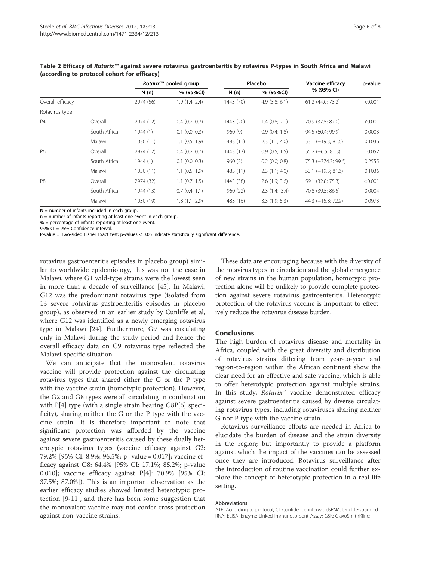|                  |              | Rotarix <sup>™</sup> pooled group |                    | Placebo   |                    | Vaccine efficacy       | p-value |
|------------------|--------------|-----------------------------------|--------------------|-----------|--------------------|------------------------|---------|
|                  |              | N(n)                              | % (95%CI)          | N(n)      | % (95%CI)          | % (95% CI)             |         |
| Overall efficacy |              | 2974 (56)                         | 1.9(1.4; 2.4)      | 1443 (70) | $4.9$ $(3.8; 6.1)$ | 61.2 (44.0; 73.2)      | < 0.001 |
| Rotavirus type   |              |                                   |                    |           |                    |                        |         |
| <b>P4</b>        | Overall      | 2974 (12)                         | $0.4$ $(0.2; 0.7)$ | 1443 (20) | $1.4$ (0.8; 2.1)   | 70.9 (37.5; 87.0)      | < 0.001 |
|                  | South Africa | 1944 (1)                          | $0.1$ $(0.0; 0.3)$ | 960(9)    | 0.9(0.4; 1.8)      | 94.5 (60.4; 99.9)      | 0.0003  |
|                  | Malawi       | 1030 (11)                         | $1.1$ (0.5; 1.9)   | 483 (11)  | 2.3(1.1; 4.0)      | $53.1$ $(-19.3; 81.6)$ | 0.1036  |
| P6               | Overall      | 2974 (12)                         | $0.4$ $(0.2; 0.7)$ | 1443 (13) | 0.9(0.5; 1.5)      | $55.2$ (-6.5; 81.3)    | 0.052   |
|                  | South Africa | 1944 (1)                          | $0.1$ $(0.0; 0.3)$ | 960(2)    | $0.2$ (0.0; 0.8)   | 75.3 (-374.3; 99.6)    | 0.2555  |
|                  | Malawi       | 1030(11)                          | $1.1$ (0.5; 1.9)   | 483 (11)  | 2.3(1.1; 4.0)      | $53.1$ (-19.3; 81.6)   | 0.1036  |
| P <sub>8</sub>   | Overall      | 2974 (32)                         | $1.1$ (0.7; 1.5)   | 1443 (38) | 2.6(1.9; 3.6)      | 59.1 (32.8; 75.3)      | < 0.001 |
|                  | South Africa | 1944 (13)                         | 0.7(0.4; 1.1)      | 960(22)   | 2.3(1.4; 3.4)      | 70.8 (39.5; 86.5)      | 0.0004  |
|                  | Malawi       | 1030 (19)                         | 1.8(1.1; 2.9)      | 483 (16)  | 3.3(1.9; 5.3)      | 44.3 $(-15.8; 72.9)$   | 0.0973  |

Table 2 Efficacy of Rotarix™ against severe rotavirus gastroenteritis by rotavirus P-types in South Africa and Malawi (according to protocol cohort for efficacy)

 $N =$  number of infants included in each group.

n = number of infants reporting at least one event in each group.

 $% =$  percentage of infants reporting at least one event.

95% CI = 95% Confidence interval.

P-value = Two-sided Fisher Exact test; p-values < 0.05 indicate statistically significant difference.

rotavirus gastroenteritis episodes in placebo group) similar to worldwide epidemiology, this was not the case in Malawi, where G1 wild-type strains were the lowest seen in more than a decade of surveillance [45]. In Malawi, G12 was the predominant rotavirus type (isolated from 13 severe rotavirus gastroenteritis episodes in placebo group), as observed in an earlier study by Cunliffe et al, where G12 was identified as a newly emerging rotavirus type in Malawi [24]. Furthermore, G9 was circulating only in Malawi during the study period and hence the overall efficacy data on G9 rotavirus type reflected the Malawi-specific situation.

We can anticipate that the monovalent rotavirus vaccine will provide protection against the circulating rotavirus types that shared either the G or the P type with the vaccine strain (homotypic protection). However, the G2 and G8 types were all circulating in combination with P[4] type (with a single strain bearing G8P[6] specificity), sharing neither the G or the P type with the vaccine strain. It is therefore important to note that significant protection was afforded by the vaccine against severe gastroenteritis caused by these dually heterotypic rotavirus types (vaccine efficacy against G2: 79.2% [95% CI: 8.9%; 96.5%; p -value = 0.017]; vaccine efficacy against G8: 64.4% [95% CI: 17.1%; 85.2%; p-value 0.010]; vaccine efficacy against P[4]: 70.9% [95% CI: 37.5%; 87.0%]). This is an important observation as the earlier efficacy studies showed limited heterotypic protection [9-11], and there has been some suggestion that the monovalent vaccine may not confer cross protection against non-vaccine strains.

These data are encouraging because with the diversity of the rotavirus types in circulation and the global emergence of new strains in the human population, homotypic protection alone will be unlikely to provide complete protection against severe rotavirus gastroenteritis. Heterotypic protection of the rotavirus vaccine is important to effectively reduce the rotavirus disease burden.

#### Conclusions

The high burden of rotavirus disease and mortality in Africa, coupled with the great diversity and distribution of rotavirus strains differing from year-to-year and region-to-region within the African continent show the clear need for an effective and safe vaccine, which is able to offer heterotypic protection against multiple strains. In this study, Rotarix™ vaccine demonstrated efficacy against severe gastroenteritis caused by diverse circulating rotavirus types, including rotaviruses sharing neither G nor P type with the vaccine strain.

Rotavirus surveillance efforts are needed in Africa to elucidate the burden of disease and the strain diversity in the region; but importantly to provide a platform against which the impact of the vaccines can be assessed once they are introduced. Rotavirus surveillance after the introduction of routine vaccination could further explore the concept of heterotypic protection in a real-life setting.

#### Abbreviations

ATP: According to protocol; CI: Confidence interval; dsRNA: Double-stranded RNA; ELISA: Enzyme-Linked Immunosorbent Assay; GSK: GlaxoSmithKline;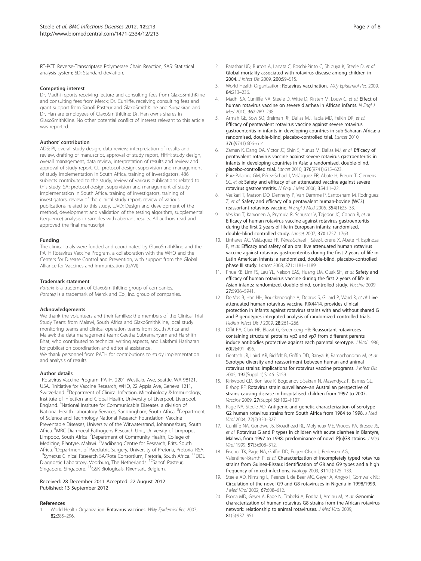RT-PCT: Reverse-Transcriptase Polymerase Chain Reaction; SAS: Statistical analysis system; SD: Standard deviation.

#### Competing interest

Dr. Madhi reports receiving lecture and consulting fees from GlaxoSmithKline and consulting fees from Merck; Dr. Cunliffe, receiving consulting fees and grant support from Sanofi Pasteur and GlaxoSmithKline and Suryakiran and Dr. Han are employees of GlaxoSmithKline; Dr. Han owns shares in GlaxoSmithKline. No other potential conflict of interest relevant to this article was reported.

#### Authors' contribution

ADS: PI, overall study design, data review, interpretation of results and review, drafting of manuscript, approval of study report, HHH: study design, overall management, data review, interpretation of results and review and approval of study report, CL: protocol design, supervision and management of study implementation in South Africa, training of investigators, 486 subjects contributed to the study, review of various publications related to this study, SA: protocol design, supervision and management of study implementation in South Africa, training of investigators, training of investigators, review of the clinical study report, review of various publications related to this study, LJVD: Design and development of the method, development and validation of the testing algorithm, supplemental (sequence) analysis in samples with aberrant results. All authors read and approved the final manuscript.

#### Funding

The clinical trials were funded and coordinated by GlaxoSmithKline and the PATH Rotavirus Vaccine Program, a collaboration with the WHO and the Centers for Disease Control and Prevention, with support from the Global Alliance for Vaccines and Immunization (GAVI).

#### Trademark statement

Rotarix is a trademark of GlaxoSmithKline group of companies. Rotateq is a trademark of Merck and Co., Inc. group of companies.

#### Acknowledgements

We thank the volunteers and their families; the members of the Clinical Trial Study Team: from Malawi, South Africa and GlaxoSmithKline, local study monitoring teams and clinical operation teams from South Africa and Malawi; the data management team; Geetha Subramanyam and Harshith Bhat, who contributed to technical writing aspects, and Lakshmi Hariharan for publication coordination and editorial assistance. We thank personnel from PATH for contributions to study implementation and analysis of results.

#### Author details

<sup>1</sup> Rotavirus Vaccine Program, PATH, 2201 Westlake Ave, Seattle, WA 98121, USA. <sup>2</sup>Initiative for Vaccine Research, WHO, 22 Appia Ave, Geneva 1211, Switzerland. <sup>3</sup>Department of Clinical Infection, Microbiology & Immunology, Institute of Infection and Global Health, University of Liverpool, Liverpool, England. <sup>4</sup> National Institute for Communicable Diseases: a division of National Health Laboratory Services, Sandringham, South Africa. <sup>5</sup>Department of Science and Technology National Research Foundation: Vaccine Preventable Diseases, University of the Witwatersrand, Johannesburg, South Africa. <sup>6</sup>MRC Diarrhoeal Pathogens Research Unit, University of Limpopo, Limpopo, South Africa. <sup>7</sup>Department of Community Health, College of Medicine, Blantyre, Malawi. <sup>8</sup>Madibeng Centre for Research, Brits, South Africa. <sup>9</sup>Department of Paediatric Surgery, University of Pretoria, Pretoria, RSA. <sup>10</sup>Synexus Clinical Research SA/Rota Consortium, Pretoria, South Africa. <sup>11</sup>DDL Diagnostic Laboratory, Voorburg, The Netherlands. <sup>12</sup>Sanofi Pasteur, Singapore, Singapore. 13GSK Biologicals, Rixensart, Belgium.

#### Received: 28 December 2011 Accepted: 22 August 2012 Published: 13 September 2012

#### References

1. World Health Organization: Rotavirus vaccines. Wkly Epidemiol Rec 2007, 82:285–296.

- Parashar UD, Burton A, Lanata C, Boschi-Pinto C, Shibuya K, Steele D, et al: Global mortality associated with rotavirus disease among children in 2004. J Infect Dis 2009, 200:S9–S15.
- 3. World Health Organization: Rotavirus vaccination. Wkly Epidemiol Rec 2009, 84:213–236.
- 4. Madhi SA, Cunliffe NA, Steele D, Witte D, Kirsten M, Louw C, et al: Effect of human rotavirus vaccine on severe diarrhea in African infants. N Fnal J Med 2010, 362:289–298.
- 5. Armah GE, Sow SO, Breiman RF, Dallas MJ, Tapia MD, Feikin DR, et al: Efficacy of pentavalent rotavirus vaccine against severe rotavirus gastroenteritis in infants in developing countries in sub-Saharan Africa: a randomised, double-blind, placebo-controlled trial. Lancet 2010, 376(9741):606–614.
- 6. Zaman K, Dang DA, Victor JC, Shin S, Yunus M, Dallas MJ, et al: Efficacy of pentavalent rotavirus vaccine against severe rotavirus gastroenteritis in infants in developing countries in Asia: a randomised, double-blind, placebo-controlled trial. Lancet 2010, 376(9741):615–623.
- 7. Ruiz-Palacios GM, Pérez-Schael I, Velázquez FR, Abate H, Breuer T, Clemens SC, et al: Safety and efficacy of an attenuated vaccine against severe rotavirus gastroenteritis. N Engl J Med 2006, 354:11–22.
- 8. Vesikari T, Matson DO, Dennehy P, Van Damme P, Santosham M, Rodriguez Z, et al: Safety and efficacy of a pentavalent human-bovine (WC3) reassortant rotavirus vaccine. N Engl J Med 2006, 354(1):23–33.
- 9. Vesikari T, Karvonen A, Prymula R, Schuster V, Tejedor JC, Cohen R, et al: Efficacy of human rotavirus vaccine against rotavirus gastroenteritis during the first 2 years of life in European infants: randomised, double-blind controlled study. Lancet 2007, 370:1757–1763.
- 10. Linhares AC, Velázquez FR, Pérez-Schael I, Sáez-Llorens X, Abate H, Espinoza F, et al: Efficacy and safety of an oral live attenuated human rotavirus vaccine against rotavirus gastroenteritis during the first 2 years of life in Latin American infants: a randomized, double-blind, placebo-controlled phase III study. Lancet 2008, 371:1181–1189.
- 11. Phua KB, Lim FS, Lau YL, Nelson EAS, Huang LM, Quak SH, et al: Safety and efficacy of human rotavirus vaccine during the first 2 years of life in Asian infants: randomized, double-blind, controlled study. Vaccine 2009, 27:5936–5941.
- 12. De Vos B, Han HH, Bouckenooghe A, Debrus S, Gillard P, Ward R, et al: Live attenuated human rotavirus vaccine, RIX4414, provides clinical protection in infants against rotavirus strains with and without shared G and P genotypes integrated analysis of randomized controlled trials. Pediatr Infect Dis J 2009, 28:261–266.
- 13. Offit PA, Clark HF, Blavat G, Greenberg HB: Reassortant rotaviruses containing structural proteins vp3 and vp7 from different parents induce antibodies protective against each parental serotype. J Virol 1986, 60(2):491–496.
- 14. Gentsch JR, Laird AR, Bielfelt B, Griffin DD, Banyai K, Ramachandran M, et al: Serotype diversity and reassortment between human and animal rotavirus strains: implications for rotavirus vaccine programs. J Infect Dis 2005, 192(Suppl 1):S146–S159.
- 15. Kirkwood CD, Boniface K, Bogdanovic-Sakran N, Masendycz P, Barnes GL, Bishop RF: Rotavirus strain surveillance–an Australian perspective of strains causing disease in hospitalised children from 1997 to 2007. Vaccine 2009, 27(Suppl 5):F102–F107.
- 16. Page NA, Steele AD: Antigenic and genetic characterization of serotype G2 human rotavirus strains from South Africa from 1984 to 1998. J Med Virol 2004, 72(2):320–327.
- 17. Cunliffe NA, Gondwe JS, Broadhead RL, Molyneux ME, Woods PA, Bresee JS, et al: Rotavirus G and P types in children with acute diarrhea in Blantyre, Malawi, from 1997 to 1998: predominance of novel P[6]G8 strains. J Med Virol 1999, 57(3):308–312.
- 18. Fischer TK, Page NA, Griffin DD, Eugen-Olsen J, Pedersen AG, Valentiner-Branth P, et al: Characterization of incompletely typed rotavirus strains from Guinea-Bissau: identification of G8 and G9 types and a high frequency of mixed infections. Virology 2003, 311(1):125–133.
- 19. Steele AD, Nimzing L, Peenze I, de Beer MC, Geyer A, Angyo I, Gomwalk NE: Circulation of the novel G9 and G8 rotaviruses in Nigeria in 1998/1999. J Med Virol 2002, 67:608-612.
- 20. Esona MD, Geyer A, Page N, Trabelsi A, Fodha I, Aminu M, et al: Genomic characterization of human rotavirus G8 strains from the African rotavirus network: relationship to animal rotaviruses. J Med Virol 2009, 81(5):937–951.